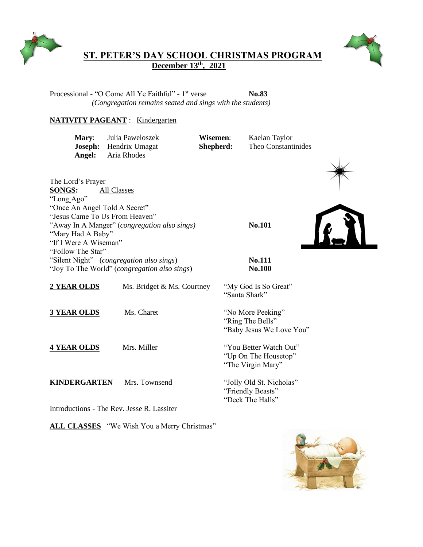



## **ST. PETER'S DAY SCHOOL CHRISTMAS PROGRAM December 13 th, 2021**

Processional - "O Come All Ye Faithful" - 1<sup>st</sup> verse **No.83** *(Congregation remains seated and sings with the students)*

## **NATIVITY PAGEANT** : Kindergarten

**Mary**: Julia Paweloszek **Wisemen**: Kaelan Taylor **Joseph:** Hendrix Umagat **Shepherd:** Theo Constantinides **Angel:** Aria Rhodes



The Lord's Prayer **SONGS:** All Classes "Long Ago" "Once An Angel Told A Secret" "Jesus Came To Us From Heaven" "Away In A Manger" (*congregation also sings)* **No.101** "Mary Had A Baby" "If I Were A Wiseman" "Follow The Star" "Silent Night" (*congregation also sings*) **No.111** "Joy To The World" (*congregation also sings*) **No.100**



2 YEAR OLDS Ms. Bridget & Ms. Courtney "My God Is So Great" "Santa Shark"

**3 YEAR OLDS** Ms. Charet "No More Peeking" "Ring The Bells" "Baby Jesus We Love You"

**4 YEAR OLDS** Mrs. Miller "You Better Watch Out" "Up On The Housetop" "The Virgin Mary"

**KINDERGARTEN** Mrs. Townsend "Jolly Old St. Nicholas" "Friendly Beasts" "Deck The Halls"

Introductions - The Rev. Jesse R. Lassiter

**ALL CLASSES** "We Wish You a Merry Christmas"